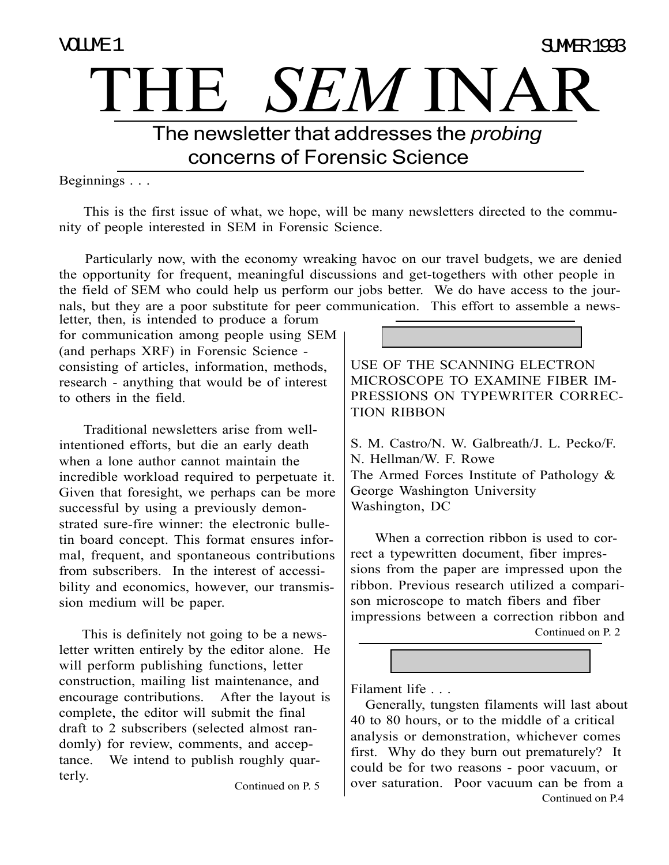# THE *SEM* INAR VOLUME 1 The newsletter that addresses the *probing* concerns of Forensic Science SUMMER 1993

Beginnings . . .

 This is the first issue of what, we hope, will be many newsletters directed to the community of people interested in SEM in Forensic Science.

 Particularly now, with the economy wreaking havoc on our travel budgets, we are denied the opportunity for frequent, meaningful discussions and get-togethers with other people in the field of SEM who could help us perform our jobs better. We do have access to the journals, but they are a poor substitute for peer communication. This effort to assemble a newsletter, then, is intended to produce a forum

for communication among people using SEM (and perhaps XRF) in Forensic Science consisting of articles, information, methods, research - anything that would be of interest to others in the field.

 Traditional newsletters arise from wellintentioned efforts, but die an early death when a lone author cannot maintain the incredible workload required to perpetuate it. Given that foresight, we perhaps can be more successful by using a previously demonstrated sure-fire winner: the electronic bulletin board concept. This format ensures informal, frequent, and spontaneous contributions from subscribers. In the interest of accessibility and economics, however, our transmission medium will be paper.

 This is definitely not going to be a newsletter written entirely by the editor alone. He will perform publishing functions, letter construction, mailing list maintenance, and encourage contributions. After the layout is complete, the editor will submit the final draft to 2 subscribers (selected almost randomly) for review, comments, and acceptance. We intend to publish roughly quarterly.

Continued on P. 5

USE OF THE SCANNING ELECTRON MICROSCOPE TO EXAMINE FIBER IM-PRESSIONS ON TYPEWRITER CORREC-TION RIBBON

S. M. Castro/N. W. Galbreath/J. L. Pecko/F. N. Hellman/W. F. Rowe The Armed Forces Institute of Pathology & George Washington University Washington, DC

 When a correction ribbon is used to correct a typewritten document, fiber impressions from the paper are impressed upon the ribbon. Previous research utilized a comparison microscope to match fibers and fiber impressions between a correction ribbon and Continued on P. 2

Filament life . . .

Continued on P.4 Generally, tungsten filaments will last about 40 to 80 hours, or to the middle of a critical analysis or demonstration, whichever comes first. Why do they burn out prematurely? It could be for two reasons - poor vacuum, or over saturation. Poor vacuum can be from a

TOOLBOX TOOLBOX TOOLBOX TOOLBOX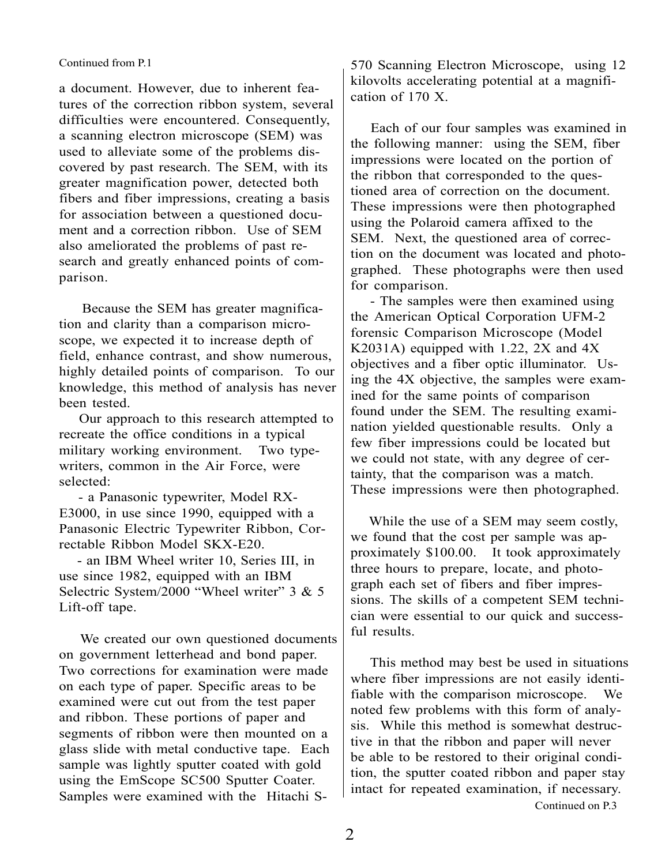### Continued from P.1

a document. However, due to inherent features of the correction ribbon system, several difficulties were encountered. Consequently, a scanning electron microscope (SEM) was used to alleviate some of the problems discovered by past research. The SEM, with its greater magnification power, detected both fibers and fiber impressions, creating a basis for association between a questioned document and a correction ribbon. Use of SEM also ameliorated the problems of past research and greatly enhanced points of comparison.

 Because the SEM has greater magnification and clarity than a comparison microscope, we expected it to increase depth of field, enhance contrast, and show numerous, highly detailed points of comparison. To our knowledge, this method of analysis has never been tested.

 Our approach to this research attempted to recreate the office conditions in a typical military working environment. Two typewriters, common in the Air Force, were selected:

 - a Panasonic typewriter, Model RX-E3000, in use since 1990, equipped with a Panasonic Electric Typewriter Ribbon, Correctable Ribbon Model SKX-E20.

 - an IBM Wheel writer 10, Series III, in use since 1982, equipped with an IBM Selectric System/2000 "Wheel writer" 3 & 5 Lift-off tape.

 We created our own questioned documents on government letterhead and bond paper. Two corrections for examination were made on each type of paper. Specific areas to be examined were cut out from the test paper and ribbon. These portions of paper and segments of ribbon were then mounted on a glass slide with metal conductive tape. Each sample was lightly sputter coated with gold using the EmScope SC500 Sputter Coater. Samples were examined with the Hitachi S-

570 Scanning Electron Microscope, using 12 kilovolts accelerating potential at a magnification of 170 X.

 Each of our four samples was examined in the following manner: using the SEM, fiber impressions were located on the portion of the ribbon that corresponded to the questioned area of correction on the document. These impressions were then photographed using the Polaroid camera affixed to the SEM. Next, the questioned area of correction on the document was located and photographed. These photographs were then used for comparison.

 - The samples were then examined using the American Optical Corporation UFM-2 forensic Comparison Microscope (Model K2031A) equipped with 1.22, 2X and 4X objectives and a fiber optic illuminator. Using the 4X objective, the samples were examined for the same points of comparison found under the SEM. The resulting examination yielded questionable results. Only a few fiber impressions could be located but we could not state, with any degree of certainty, that the comparison was a match. These impressions were then photographed.

 While the use of a SEM may seem costly, we found that the cost per sample was approximately \$100.00. It took approximately three hours to prepare, locate, and photograph each set of fibers and fiber impressions. The skills of a competent SEM technician were essential to our quick and successful results.

 This method may best be used in situations where fiber impressions are not easily identifiable with the comparison microscope. We noted few problems with this form of analysis. While this method is somewhat destructive in that the ribbon and paper will never be able to be restored to their original condition, the sputter coated ribbon and paper stay intact for repeated examination, if necessary. Continued on P.3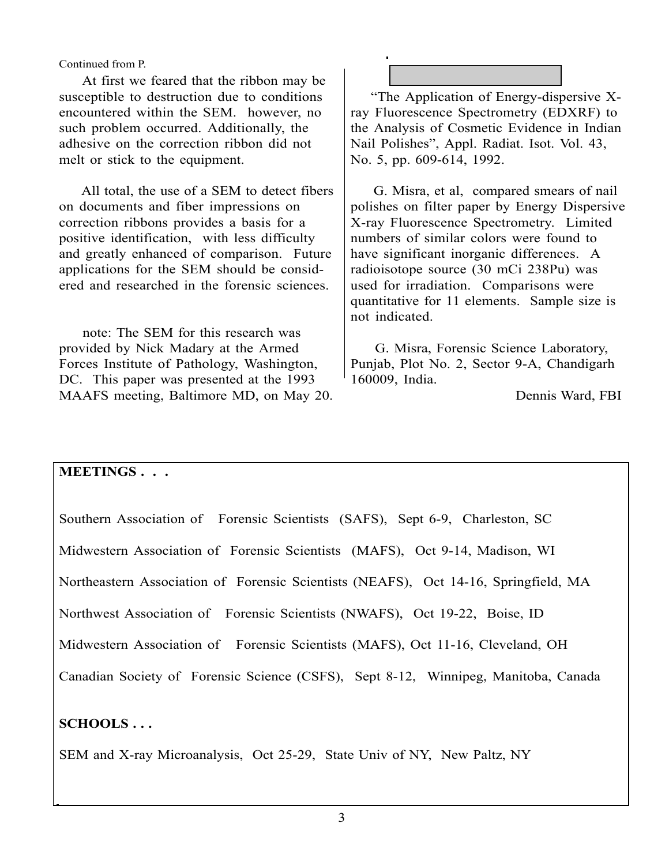Continued from P.

 At first we feared that the ribbon may be susceptible to destruction due to conditions encountered within the SEM. however, no such problem occurred. Additionally, the adhesive on the correction ribbon did not melt or stick to the equipment.

 All total, the use of a SEM to detect fibers on documents and fiber impressions on correction ribbons provides a basis for a positive identification, with less difficulty and greatly enhanced of comparison. Future applications for the SEM should be considered and researched in the forensic sciences.

 note: The SEM for this research was provided by Nick Madary at the Armed Forces Institute of Pathology, Washington, DC. This paper was presented at the 1993 MAAFS meeting, Baltimore MD, on May 20.

 "The Application of Energy-dispersive Xray Fluorescence Spectrometry (EDXRF) to the Analysis of Cosmetic Evidence in Indian Nail Polishes", Appl. Radiat. Isot. Vol. 43, No. 5, pp. 609-614, 1992.

**REVIEW**

 G. Misra, et al, compared smears of nail polishes on filter paper by Energy Dispersive X-ray Fluorescence Spectrometry. Limited numbers of similar colors were found to have significant inorganic differences. A radioisotope source (30 mCi 238Pu) was used for irradiation. Comparisons were quantitative for 11 elements. Sample size is not indicated.

 G. Misra, Forensic Science Laboratory, Punjab, Plot No. 2, Sector 9-A, Chandigarh 160009, India.

Dennis Ward, FBI

# **MEETINGS . . .**

Southern Association of Forensic Scientists (SAFS), Sept 6-9, Charleston, SC Midwestern Association of Forensic Scientists (MAFS), Oct 9-14, Madison, WI Northeastern Association of Forensic Scientists (NEAFS), Oct 14-16, Springfield, MA Northwest Association of Forensic Scientists (NWAFS), Oct 19-22, Boise, ID Midwestern Association of Forensic Scientists (MAFS), Oct 11-16, Cleveland, OH Canadian Society of Forensic Science (CSFS), Sept 8-12, Winnipeg, Manitoba, Canada

# **SCHOOLS . . .**

SEM and X-ray Microanalysis, Oct 25-29, State Univ of NY, New Paltz, NY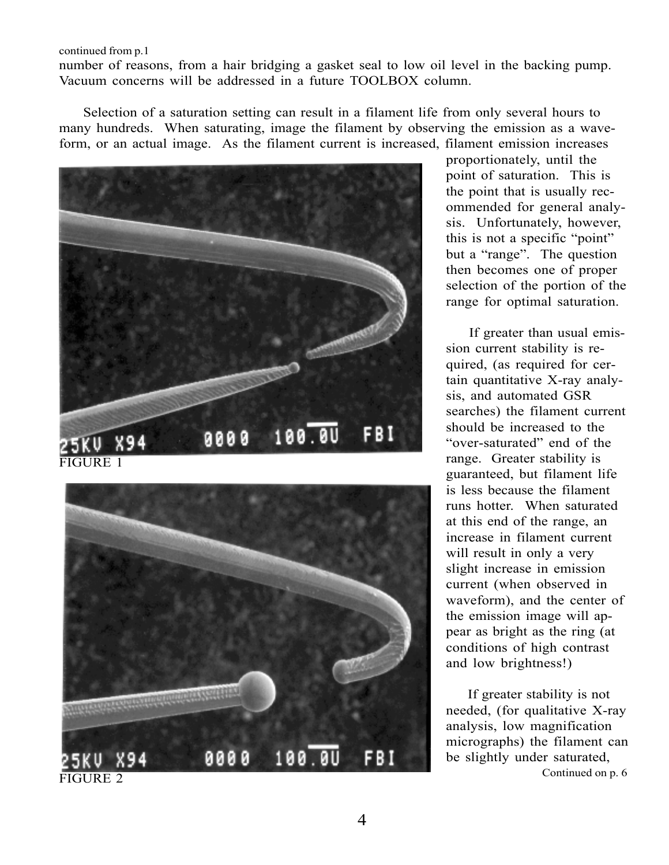continued from p.1

number of reasons, from a hair bridging a gasket seal to low oil level in the backing pump. Vacuum concerns will be addressed in a future TOOLBOX column.

 Selection of a saturation setting can result in a filament life from only several hours to many hundreds. When saturating, image the filament by observing the emission as a waveform, or an actual image. As the filament current is increased, filament emission increases





proportionately, until the point of saturation. This is the point that is usually recommended for general analysis. Unfortunately, however, this is not a specific "point" but a "range". The question then becomes one of proper selection of the portion of the range for optimal saturation.

 If greater than usual emission current stability is required, (as required for certain quantitative X-ray analysis, and automated GSR searches) the filament current should be increased to the "over-saturated" end of the range. Greater stability is guaranteed, but filament life is less because the filament runs hotter. When saturated at this end of the range, an increase in filament current will result in only a very slight increase in emission current (when observed in waveform), and the center of the emission image will appear as bright as the ring (at conditions of high contrast and low brightness!)

 If greater stability is not needed, (for qualitative X-ray analysis, low magnification micrographs) the filament can be slightly under saturated,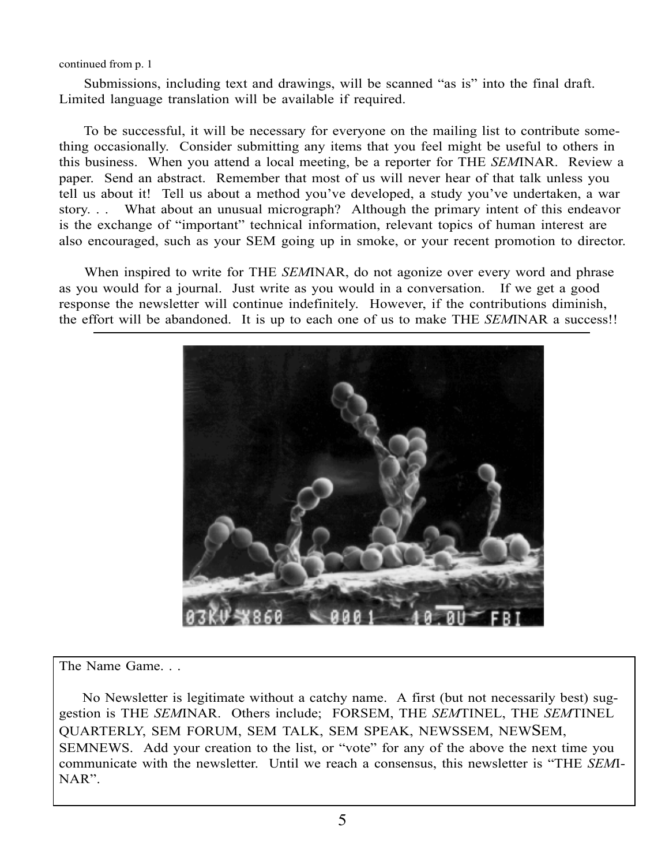continued from p. 1

 Submissions, including text and drawings, will be scanned "as is" into the final draft. Limited language translation will be available if required.

 To be successful, it will be necessary for everyone on the mailing list to contribute something occasionally. Consider submitting any items that you feel might be useful to others in this business. When you attend a local meeting, be a reporter for THE *SEM*INAR. Review a paper. Send an abstract. Remember that most of us will never hear of that talk unless you tell us about it! Tell us about a method you've developed, a study you've undertaken, a war story. . . What about an unusual micrograph? Although the primary intent of this endeavor is the exchange of "important" technical information, relevant topics of human interest are also encouraged, such as your SEM going up in smoke, or your recent promotion to director.

 When inspired to write for THE *SEM*INAR, do not agonize over every word and phrase as you would for a journal. Just write as you would in a conversation. If we get a good response the newsletter will continue indefinitely. However, if the contributions diminish, the effort will be abandoned. It is up to each one of us to make THE *SEM*INAR a success!!



The Name Game. . .

 No Newsletter is legitimate without a catchy name. A first (but not necessarily best) suggestion is THE *SEM*INAR. Others include; FORSEM, THE *SEM*TINEL, THE *SEM*TINEL QUARTERLY, SEM FORUM, SEM TALK, SEM SPEAK, NEWSSEM, NEWSEM, SEMNEWS. Add your creation to the list, or "vote" for any of the above the next time you communicate with the newsletter. Until we reach a consensus, this newsletter is "THE *SEM*I-NAR".